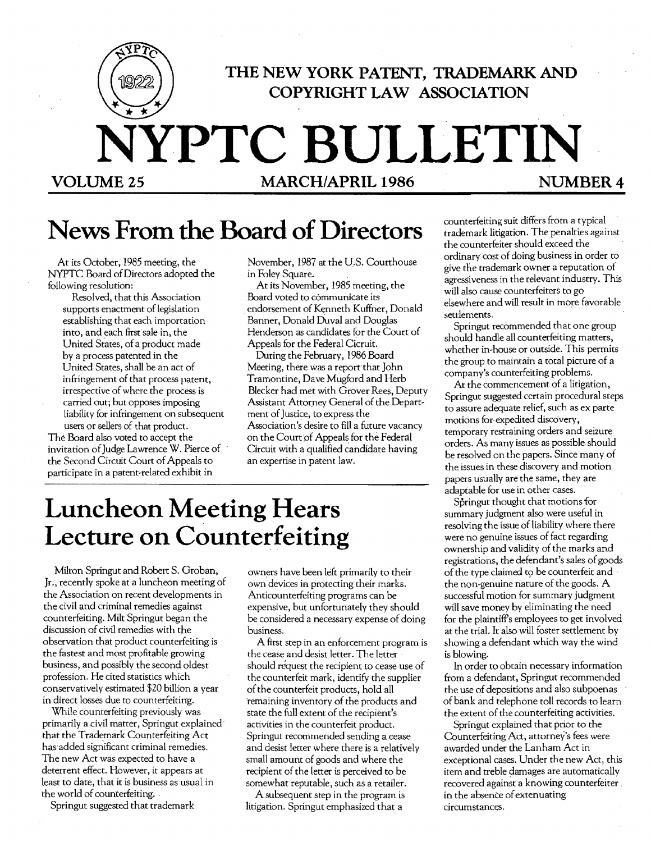

# News From the Board of Directors

At its October, 1985 meeting, the NYPTC Board ofDirectors adopted the following resolution:

Resolved, that this Association supports enactment of legislation establishing that each importation into, and each first sale in, the United States, of a product made by a process patented in the United States, shall be an act of infringement of that process patent, irrespective of where the process is carried out; but opposes imposing liability for infringement on subsequent users or sellers of that product.

The Board also voted to accept the invitation of}udge Lawrence W. Pierce of the Second Circuit Court of Appeals to participate in a patent-related exhibit in

November, 1987 at the U.S. Courthouse in Foley Square.

At its November, 1985 meeting, the Board voted to communicate its endorsement of Kenneth Kuffner, Donald Banner, Donald Duval and Douglas Henderson as candidates for the Court of Appeals for the Federal Cicruit.

During the February, 1986 Board Meeting, there Was a report that John Tramontine, Dave Mugford and Herb Blecker had met with Grover Rees, Deputy Assistant Attorney General of the Department of Justice, to express the Association's desire to fill a future vacancy on the Court of Appeals for the Federal Circuit with a qualified candidate having an expertise in patent law.

# **Luncheon Meeting Hears Lecture on Counterfeiting**

Milton Springut and Robert S. Groban, Jr., recently spoke at a luncheon meeting of the Association on recent developments in the civil and criminal remedies against counterfeiting. Milt Springut began the discussion of civil remedies with the observation that product counterfeiting is the fastest and most profitable growing business, and possibly the second oldest profession. He cited statistics which conservatively estimated \$20 billion a year in direct losses due to counterfeiting.

While counterfeiting previously was primarily a civil matter, Springut explained' that the Trademark Counterfeiting Act has'added significant criminal remedies. The new Act was expected to have a deterrent effect. However, it appears at least to date, that it is business as usual in the world of counterfeiting.

Springut suggested that trademark

owners have been left primarily to their own devices in protecting their marks. Anticounterfeiting programs can be expensive, but unfortunately they should be considered a necessary expense of doing business.

A first step in an enforcement program is the cease and desist letter. The letter should request the recipient to cease use of the counterfeit mark, identify the supplier of the counterfeit products, hold all -remaining inventory of the products and state the full extent of the recipient's activities in the counterfeit product. Springut recommended sending a cease and desist letter where there is a relatively small amount of goods and where the recipient of the letter is perceived to be somewhat reputable, such as a retailer.

A subsequent step in the program is litigation. Springut emphasized that a

counterfeiting suit differs from a typical trademark litigation. The penalties against the counterfeiter should exceed the ordinary cost of doing business in order to give the trademark owner a reputation of agressiveness in the relevant industry. This will also cause counterfeiters to go elsewhere and will result in more favorable settlements.

Springut recommended that one group should handle all counterfeiting matters, whether in-house or outside. This permits the group to maintain a total picture of a company's counterfeiting problems.

At the commencement of a litigation, Springut suggested certain procedural steps to assure adequate relief, such as ex parte motions for- expedited discovery, temporary restraining orders and seizure orders. As many issues as possible should be resolved on the papers. Since many of the issues in these discovery and motion papers usually are the same, they are adaptable for use in other cases.

Springut thought that motions for summary judgment also were useful in resolving the issue of liability where there were no genuine issues of fact regarding ownership and validity of the marks and registrations, the defendant's sales ofgoods of the type claimed to be counterfeit and the non-genuine nature of the goods. A successful motion for summary judgment will save money by eliminating the need for the plaintiff's employees to get involved at the triaL It also will foster settlement by showing a defendant which way the wind is blowing.

In order to obtain necessary information from a defendant, Springut recommended the use of depositions and also subpoenas of bank and telephone toll records to learn the extent of the counterfeiting activities.

Springut explained that prior to the Counterfeiting Act, attorney's fees were awarded under the Lanham Act in exceptional cases. Under the new Act, this item and treble damages are automatically recovered against a knowing counterfeiter \_ in the absence of extenuating circumstances.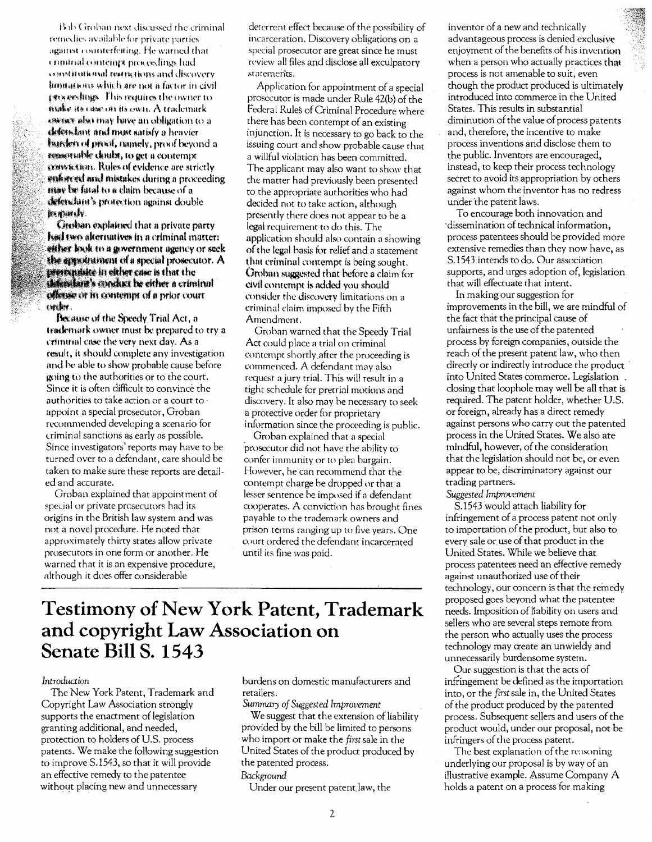Bob Groban next discussed the criminal remedies available for private parties. against counterfeiting. He warned that crinitial contemn proceedings had existing and restrictions and discovery limitations which are not a factor in civil proceedings. This requires the owner to make its case on its own. A trademark exerce also may have an obligation to a defendant and must satisfy a heavier **Initiative of envelopments**, proof beyond a reservable doubt, to get a contempt convertion. Rules of evidence are strictly enforced and mistakes during a proceeding may be final to a claim because of a defendant's protection against double **MONDAY** 

**Creeban explained that a private party** had two alternatives in a criminal matter: either look to a government agency or seek the appearance of a special prosecutor. A presentiate in either case is that the defendant's conduct be either a criminal offense or in contempt of a prior court cwder.

Because of the Speedy Trial Act, a trademark owner must be prepared to try a criminal case the very next day. As a result, it should complete any investigation and be able to show probable cause before going to the authorities or to the court. Since it is often difficult to convince the authorities to take action or a court to appoint a special prosecutor, Groban recommended developing a scenario for criminal sanctions as early as possible. Since investigators' reports may have to be turned over to a defendant, care should be taken to make sure these reports are detailed and accurate.

Groban explained that appointment of special or private prosecutors had its origins in the British law system and was not a novel procedure. He noted that approximately thirty states allow private prosecutors in one form or another. He warned that it is an expensive procedure, although it does offer considerable

deterrent effect because of the possibility of incarceration. Discovery obligations on a special prosecutor are great since he must review all files and disclose all exculpatory statements.

Application for appointment of a special prosecutor is made under Rule 42(b) of the Federal Rules of Criminal Procedure where there has been contempt of an existing injunction. It is necessary to go back to the issuing court and show probable cause that a willful violation has been committed. The applicant may also want to show that the matter had previously been presented to the appropriate authorities who had decided not to take action, although presently there does not appear to be a legal requirement to do this. The application should also contain a showing of the legal basis for relief and a statement that criminal contempt is being sought. Groban suggested that before a claim for civil contempt is added you should consider the discovery limitations on a criminal claim imposed by the Fifth Amendment.

Groban warned that the Speedy Trial Act could place a trial on criminal contempt shortly after the proceeding is commenced. A defendant may also request a jury trial. This will result in a tight schedule for pretrial motions and discovery. It also may be necessary to seek a protective order for proprietary information since the proceeding is public.

Groban explained that a special prosecutor did not have the ability to confer immunity or to plea bargain. However, he can recommend that the contempt charge be dropped or that a lesser sentence be imposed if a defendant cooperates. A conviction has brought fines payable to the trademark owners and prison terms ranging up to five years. One court ordered the defendant incarcerated until its fine was paid.

## **Testimony of New York Patent, Trademark** and copyright Law Association on Senate Bill S. 1543

#### Introduction

The New York Patent, Trademark and Copyright Law Association strongly supports the enactment of legislation granting additional, and needed, protection to holders of U.S. process patents. We make the following suggestion to improve S.1543, so that it will provide an effective remedy to the patentee without placing new and unnecessary

burdens on domestic manufacturers and retailers.

Summary of Suggested Improvement We suggest that the extension of liability provided by the bill be limited to persons who import or make the first sale in the United States of the product produced by the patented process.

#### Background

Under our present patent law, the

inventor of a new and technically advantageous process is denied exclusive enjoyment of the benefits of his invention when a person who actually practices that process is not amenable to suit, even though the product produced is ultimately introduced into commerce in the United States. This results in substantial diminution of the value of process patents and, therefore, the incentive to make process inventions and disclose them to the public. Inventors are encouraged. instead, to keep their process technology secret to avoid its appropriation by others against whom the inventor has no redress under the patent laws.

To encourage both innovation and dissemination of technical information. process patentees should be provided more extensive remedies than they now have, as S.1543 intends to do. Our association supports, and urges adoption of, legislation that will effectuate that intent.

In making our suggestion for improvements in the bill, we are mindful of the fact that the principal cause of unfairness is the use of the patented process by foreign companies, outside the reach of the present patent law, who then directly or indirectly introduce the product into United States commerce. Legislation closing that loophole may well be all that is required. The patent holder, whether U.S. or foreign, already has a direct remedy against persons who carry out the patented process in the United States. We also are mindful, however, of the consideration that the legislation should not be, or even appear to be, discriminatory against our trading partners.

Suggested Improvement

S.1543 would attach liability for infringement of a process patent not only to importation of the product, but also to every sale or use of that product in the United States. While we believe that process patentees need an effective remedy against unauthorized use of their technology, our concern is that the remedy proposed goes beyond what the patentee needs. Imposition of liability on users and sellers who are several steps remote from the person who actually uses the process technology may create an unwieldy and unnecessarily burdensome system.

Our suggestion is that the acts of infringement be defined as the importation into, or the first sale in, the United States of the product produced by the patented process. Subsequent sellers and users of the product would, under our proposal, not be infringers of the process patent.

The best explanation of the reasoning underlying our proposal is by way of an illustrative example. Assume Company A holds a patent on a process for making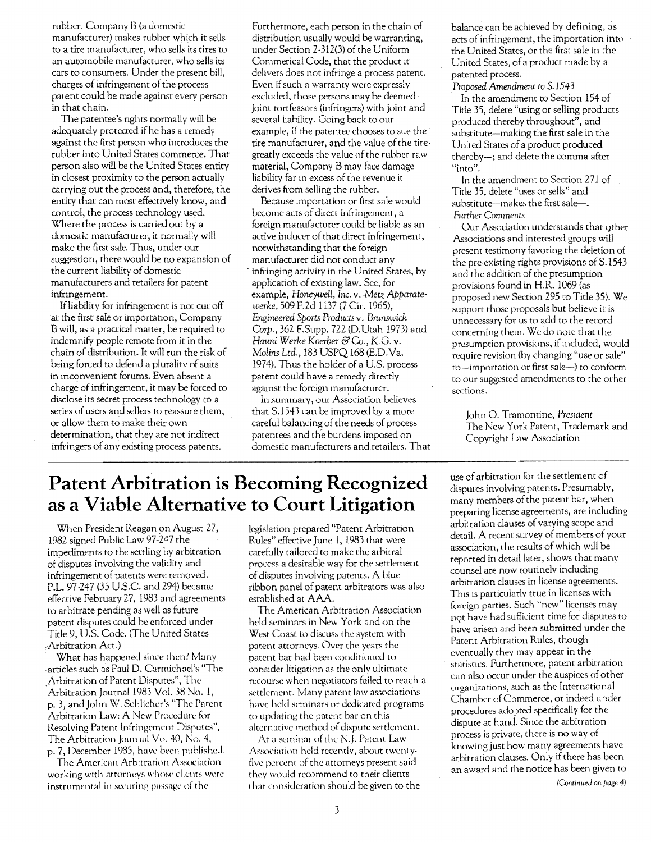rubber. Company B (a domestic manufacturer) makes rubber which it sells to a tire manufacturer, who sells its tires to an automobile manufacturer, who sells its cars to consumers. Under the present bill, charges of infringement of the process patent could be made against every person in that chain.

The patentee's rights normally will be adequately protected if he has a remedy against the first person who introduces the rubber into United States commerce. That person also will be the United States entity in closest proximity to the person actually carrying out the process and, therefore, the entity that can most effectively know, and control, the process technology used. Where the process is carried out by a domestic manufacturer, it normally will make the first sale. Thus, under our suggestion, there would be no expansion of the current liability of domestic manufacturers and retailers for patent infringement.

If liability for infringement is not cut off at the first sale or importation, Company B will, as a practical matter, be required to indemnify people remote from it in the chain of distribution. It will run the risk of being forced to defend a plurality of suits in inconvenient forums. Even absent a charge of infringement, it may be forced to disclose its secret process technology to a series of users and sellers to reassure them, or allow them to make their own determination, that they are not indirect infringers of any existing process patents.

Furthermore, each person in the chain of distribution usually would be warranting, under Section 2-312(3) of the Uniform Commerical Code, that the product it delivers does not infringe a process patent. Even if such a warranty were expressly excluded, those persons may be deemed, joint tortfeasors (infringers) with joint and several liability. Going back to our example, if the patentee chooses to sue the tire manufacturer, and the value of the tiregreatly exceeds the value of the ruhber raw material, Company Bmay face damage liability far in excess of the revenue it derives from selling the rubber.

Because importation or first sale would become acts of direct infringement, a foreign manufacturer could be liable as an active inducer of that direct infringement, notwithstanding that the foreign manufacturer did not conduct any . infringing activity in the United States, by applicatioh of exIsting law. See, for example, *Honeywell,* Inc. v. *,Metz Apparatewerke,* 509 F.2d 1137 (7 Cir. 1965), *Engineered Sports Products* v. *Brunswick*  Corp.,362 F.Supp. 722 (D. Utah 1973) and Hauni *Werke Koerber &Co.,* K.G. v. *MoUns Ltd.,* 183 USPQ 168 (E.D.Va. 1974). Thus the holder of a U.S. process patent could have a remedy directly against the foreign manufacturer.

In .summary, our Association believes that S.1543 can be improved by a more careful balancing of the needs of process patentees and th'e burdens imposed on domestic manufacturers and, retailers. That

balance can be achieved by defining, as acts of infringement, the importation into the United States, Or the first sale in the United States, of a product made by a patented process.

*Proposed Amendment* to *S.1543*  In the amendment to Section 154 of Title 35, delete "using or selling products" produced thereby throughout", and substitute-making the first sale in the United States of a product produced thereby-; and delete the comma after "into".

In the amendment to Section 271 of Title 35, delete "uses or sells" and substitute-makes the first sale-. *Further Comments* 

Our Association understands that Qther Associations and interested groups will present testimony favoring the deletion of the pre-existing rights provisions of S.1543 and the addition of the presumption provisions found in H.R. 1069 (as proposed new Section 295 to Title 35). We support those proposals but believe it is unnecessary for us to add to the record concerning them. We do note that the presumption provisions, if included, would require revision (by changing "use or sale" to-importation or first sale-) to conform to our suggested amendments to the other sections.

John O. Tramontine, *President*  The New York Patent, Trademark and Copyright Law Association

## **Patent Arbitration is Becoming Recognized as a Viable Alternative to Court Litigation**

When President Reagan on August 27, 1982 signed Public Law 97-247 the impediments to the settling by arbitration of disputes involving the validity and infringement of patents were removed. P.L. 97-247 (35 U.S.C. and 294) became effective February 27, 1983 and agreements to arbitrate pending as well as future patent disputes could be enforced under Title 9, US. Code. (The United States Arbitration Act.)

What has happened since then? Many articles such as Paul D. Carmichael's "The Arbitration ofPatent Disputes", The Arbitration Journal 1983 Vol. 38 No.1, p. 3, and John W. Schlicher's "The Parent Arbitration Law: A New Procedure for Resolving Patent Infringement Disputes", The Arbitration Journal Vo. 40, No.4, p. 7, December 1985, have been published.

The American Arbitration Association working with attorneys whose clients were instrumental in securing passage of the

legislation prepared "Patent Arbitration Rules" effective June 1, 1983 that were carefully tailored to make the arbitral process a desirable way for the settlement of disputes involving patents. A blue ribbon panel of patent arbitrators was also established at AM.

The American Arbitration Association held seminars in New York and on the West Coast to discuss the system with patent attorneys. Over the years the patent bar had been conditioned to consider litigation as the only ultimate recourse when negotiators failed to reach a settlement. Many patent law associations have held seminars or dedicated programs to updating the patent bar on this alternative method of dispute settlement.

At a seminar of the N.J. Patent Law Association held recently, about twentyfive percent of the attorneys present said they would recommend to their clients that consideration should be given to the use of arbitration for the settlement of disputes involving patents. Presumably, many members of the patent bar, when preparing license agreements, are including arbitration clauses of varying scope and detail. A recent survey of members of your association, the results of which will be reported in detail later, shows that many counsel are now routinely including arbitration clauses in license agreements. This is particularly true in licenses with foreign parties. Such "new" licenses may not have had sufficient time for disputes to have arisen and been submitted under the Patent Arbitration Rules, though eventually they may appear in the statistics. Furthermore, patent arbitration can also occur under the auspices ofother organizations, such as the International Chamber of Commerce, or indeed under procedures adopted specifically for the dispute at hand. Since the arbitration process is private, there is no way of knowing just how many agreements have arbitration clauses. Only if there has been an award and the notice has been given to

*(Concinued* on *page 4)*